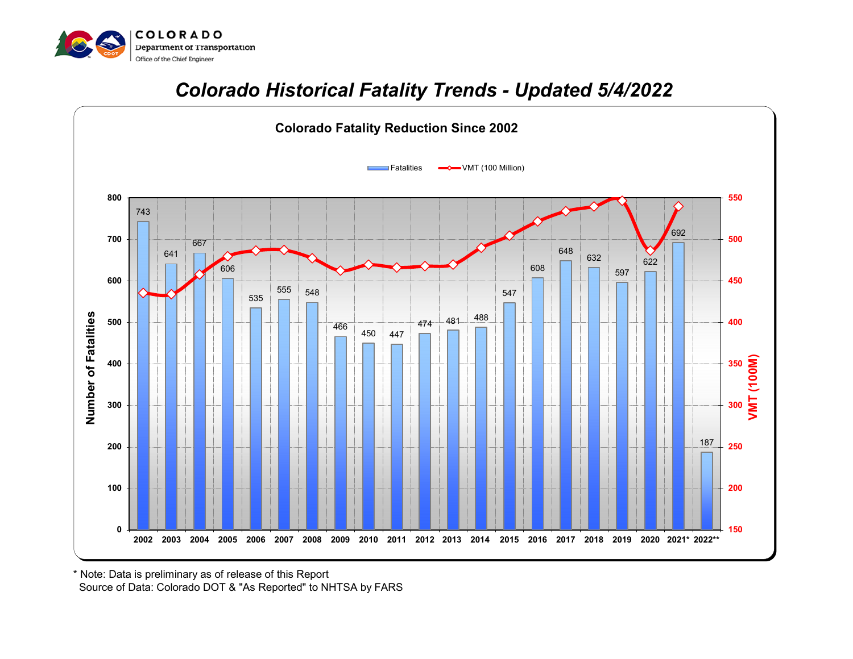

## *Colorado Historical Fatality Trends - Updated 5/4/2022*



 Source of Data: Colorado DOT & "As Reported" to NHTSA by FARS \* Note: Data is preliminary as of release of this Report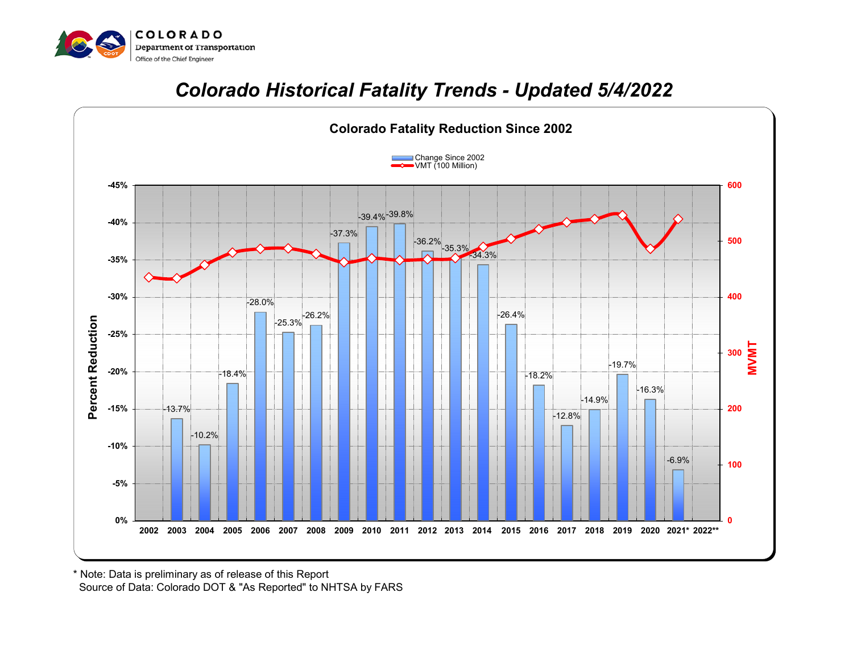

## *Colorado Historical Fatality Trends - Updated 5/4/2022*



 Source of Data: Colorado DOT & "As Reported" to NHTSA by FARS \* Note: Data is preliminary as of release of this Report